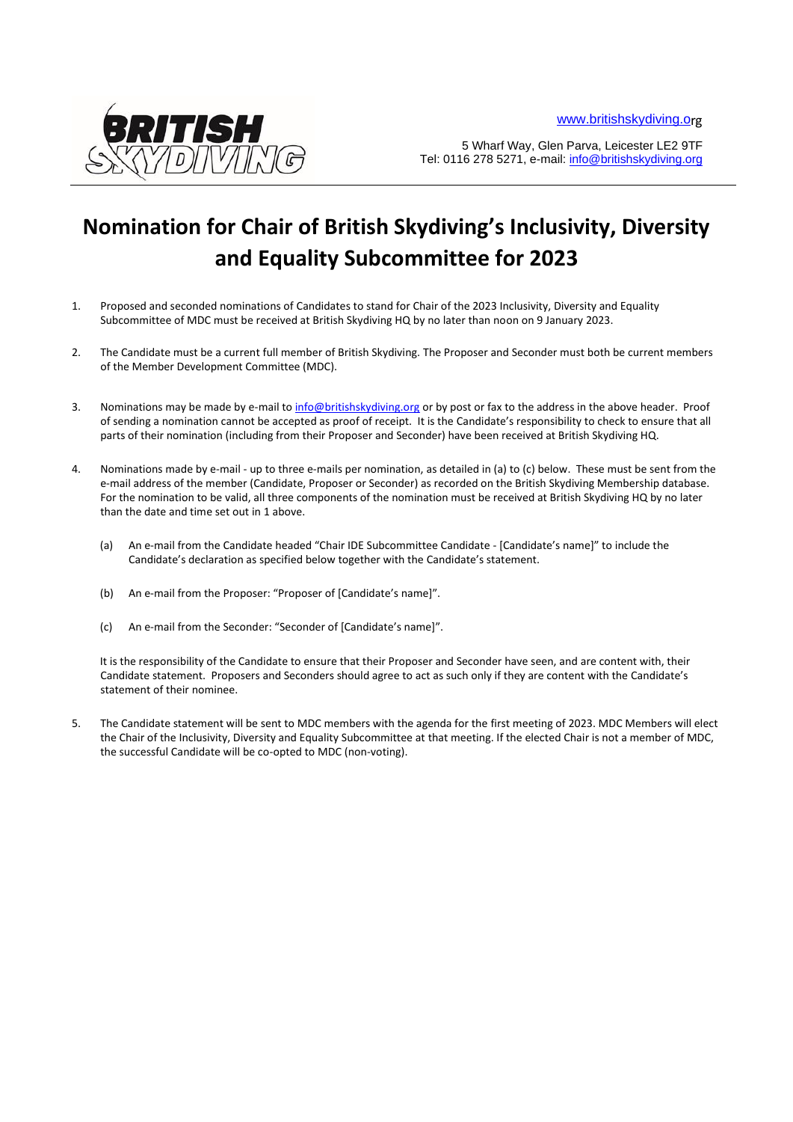

5 Wharf Way, Glen Parva, Leicester LE2 9TF Tel: 0116 278 5271, e-mail: info@britishskydiving.org

## **Nomination for Chair of British Skydiving's Inclusivity, Diversity and Equality Subcommittee for 2023**

- 1. Proposed and seconded nominations of Candidates to stand for Chair of the 2023 Inclusivity, Diversity and Equality Subcommittee of MDC must be received at British Skydiving HQ by no later than noon on 9 January 2023.
- 2. The Candidate must be a current full member of British Skydiving. The Proposer and Seconder must both be current members of the Member Development Committee (MDC).
- 3. Nominations may be made by e-mail to info@britishskydiving.org or by post or fax to the address in the above header. Proof of sending a nomination cannot be accepted as proof of receipt. It is the Candidate's responsibility to check to ensure that all parts of their nomination (including from their Proposer and Seconder) have been received at British Skydiving HQ.
- 4. Nominations made by e-mail up to three e-mails per nomination, as detailed in (a) to (c) below. These must be sent from the e-mail address of the member (Candidate, Proposer or Seconder) as recorded on the British Skydiving Membership database. For the nomination to be valid, all three components of the nomination must be received at British Skydiving HQ by no later than the date and time set out in 1 above.
	- (a) An e-mail from the Candidate headed "Chair IDE Subcommittee Candidate [Candidate's name]" to include the Candidate's declaration as specified below together with the Candidate's statement.
	- (b) An e-mail from the Proposer: "Proposer of [Candidate's name]".
	- (c) An e-mail from the Seconder: "Seconder of [Candidate's name]".

It is the responsibility of the Candidate to ensure that their Proposer and Seconder have seen, and are content with, their Candidate statement. Proposers and Seconders should agree to act as such only if they are content with the Candidate's statement of their nominee.

5. The Candidate statement will be sent to MDC members with the agenda for the first meeting of 2023. MDC Members will elect the Chair of the Inclusivity, Diversity and Equality Subcommittee at that meeting. If the elected Chair is not a member of MDC, the successful Candidate will be co-opted to MDC (non-voting).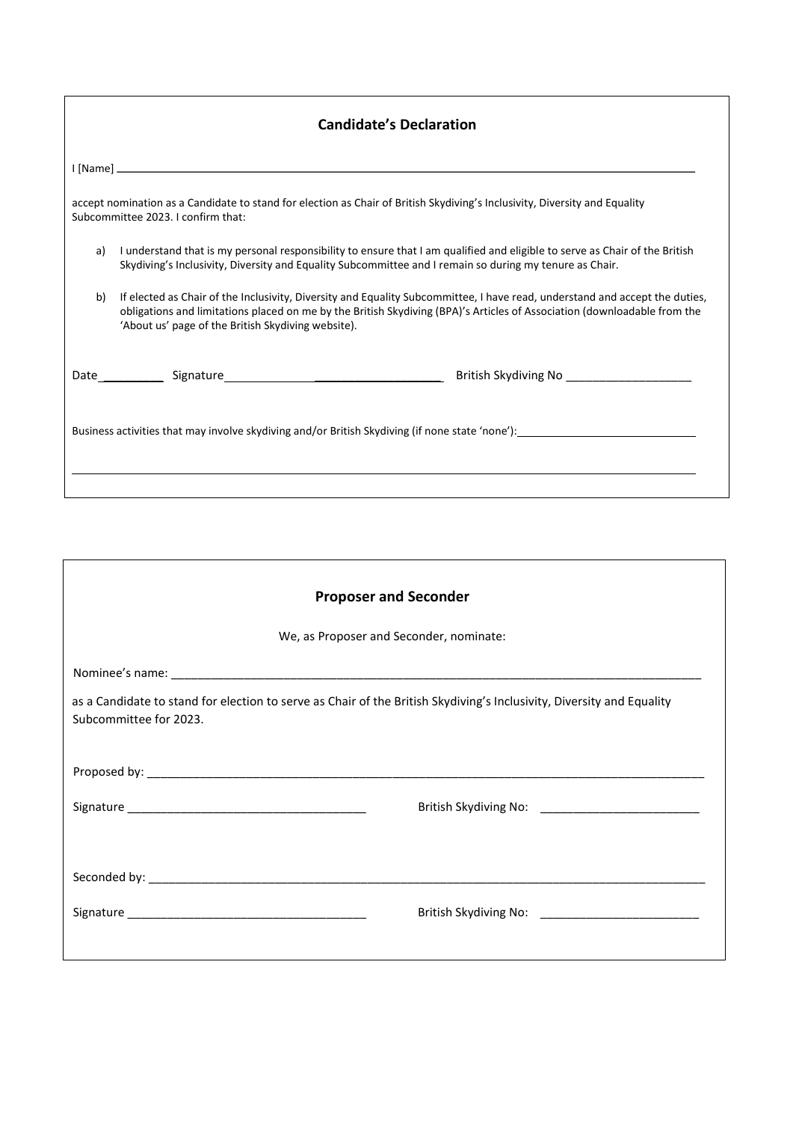| <b>Candidate's Declaration</b>                                                                                                                                   |                                                                                                                                                                                                                                                                                                               |  |
|------------------------------------------------------------------------------------------------------------------------------------------------------------------|---------------------------------------------------------------------------------------------------------------------------------------------------------------------------------------------------------------------------------------------------------------------------------------------------------------|--|
|                                                                                                                                                                  |                                                                                                                                                                                                                                                                                                               |  |
| accept nomination as a Candidate to stand for election as Chair of British Skydiving's Inclusivity, Diversity and Equality<br>Subcommittee 2023. I confirm that: |                                                                                                                                                                                                                                                                                                               |  |
| a)                                                                                                                                                               | I understand that is my personal responsibility to ensure that I am qualified and eligible to serve as Chair of the British<br>Skydiving's Inclusivity, Diversity and Equality Subcommittee and I remain so during my tenure as Chair.                                                                        |  |
| b)                                                                                                                                                               | If elected as Chair of the Inclusivity, Diversity and Equality Subcommittee, I have read, understand and accept the duties,<br>obligations and limitations placed on me by the British Skydiving (BPA)'s Articles of Association (downloadable from the<br>'About us' page of the British Skydiving website). |  |
|                                                                                                                                                                  | British Skydiving No<br>Monton Skydiving No 2002                                                                                                                                                                                                                                                              |  |
| Business activities that may involve skydiving and/or British Skydiving (if none state 'none'):                                                                  |                                                                                                                                                                                                                                                                                                               |  |
|                                                                                                                                                                  |                                                                                                                                                                                                                                                                                                               |  |

| <b>Proposer and Seconder</b>                                                                                                                    |  |  |
|-------------------------------------------------------------------------------------------------------------------------------------------------|--|--|
| We, as Proposer and Seconder, nominate:                                                                                                         |  |  |
|                                                                                                                                                 |  |  |
| as a Candidate to stand for election to serve as Chair of the British Skydiving's Inclusivity, Diversity and Equality<br>Subcommittee for 2023. |  |  |
|                                                                                                                                                 |  |  |
|                                                                                                                                                 |  |  |
|                                                                                                                                                 |  |  |
|                                                                                                                                                 |  |  |
|                                                                                                                                                 |  |  |
|                                                                                                                                                 |  |  |